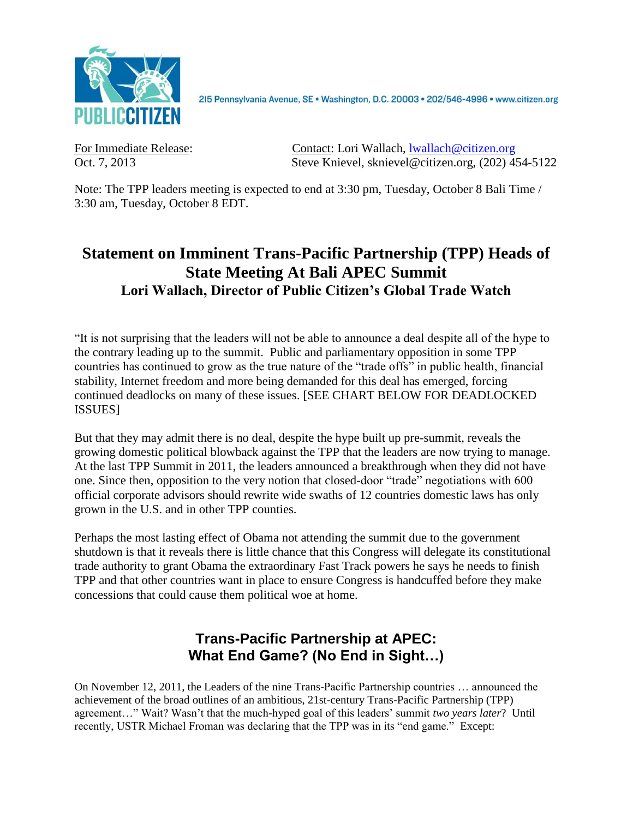

2I5 Pennsylvania Avenue, SE · Washington, D.C. 20003 · 202/546-4996 · www.citizen.org

For Immediate Release: Contact: Lori Wallach, [lwallach@citizen.org](mailto:lwallach@citizen.org) Oct. 7, 2013 Steve Knievel, sknievel@citizen.org, (202) 454-5122

Note: The TPP leaders meeting is expected to end at 3:30 pm, Tuesday, October 8 Bali Time / 3:30 am, Tuesday, October 8 EDT.

# **Statement on Imminent Trans-Pacific Partnership (TPP) Heads of State Meeting At Bali APEC Summit Lori Wallach, Director of Public Citizen's Global Trade Watch**

"It is not surprising that the leaders will not be able to announce a deal despite all of the hype to the contrary leading up to the summit. Public and parliamentary opposition in some TPP countries has continued to grow as the true nature of the "trade offs" in public health, financial stability, Internet freedom and more being demanded for this deal has emerged, forcing continued deadlocks on many of these issues. [SEE CHART BELOW FOR DEADLOCKED ISSUES]

But that they may admit there is no deal, despite the hype built up pre-summit, reveals the growing domestic political blowback against the TPP that the leaders are now trying to manage. At the last TPP Summit in 2011, the leaders announced a breakthrough when they did not have one. Since then, opposition to the very notion that closed-door "trade" negotiations with 600 official corporate advisors should rewrite wide swaths of 12 countries domestic laws has only grown in the U.S. and in other TPP counties.

Perhaps the most lasting effect of Obama not attending the summit due to the government shutdown is that it reveals there is little chance that this Congress will delegate its constitutional trade authority to grant Obama the extraordinary Fast Track powers he says he needs to finish TPP and that other countries want in place to ensure Congress is handcuffed before they make concessions that could cause them political woe at home.

## **Trans-Pacific Partnership at APEC: What End Game? (No End in Sight…)**

On November 12, 2011, the Leaders of the nine Trans-Pacific Partnership countries … announced the achievement of the broad outlines of an ambitious, 21st-century Trans-Pacific Partnership (TPP) agreement…" Wait? Wasn't that the much-hyped goal of this leaders' summit *two years later*? Until recently, USTR Michael Froman was declaring that the TPP was in its "end game." Except: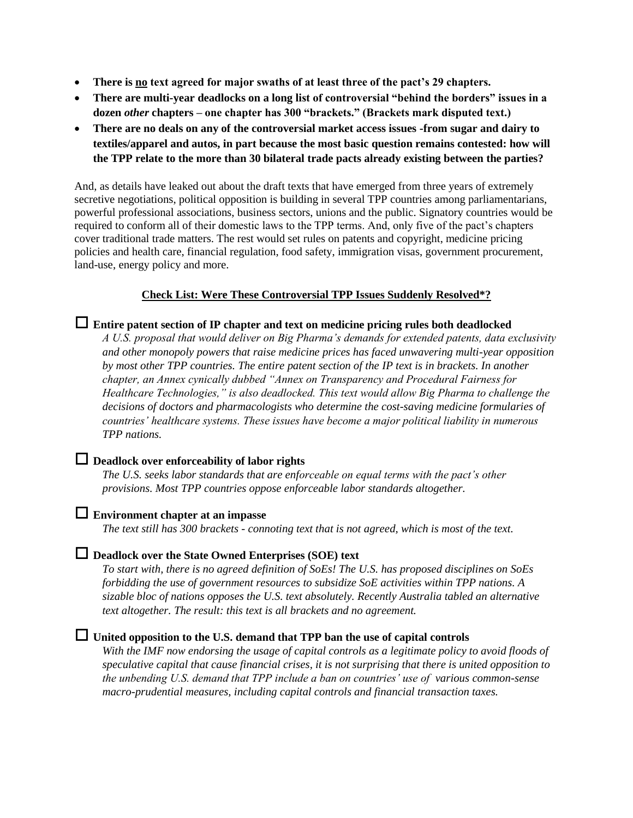- **There is no text agreed for major swaths of at least three of the pact's 29 chapters.**
- **There are multi-year deadlocks on a long list of controversial "behind the borders" issues in a dozen** *other* **chapters – one chapter has 300 "brackets." (Brackets mark disputed text.)**
- **There are no deals on any of the controversial market access issues -from sugar and dairy to textiles/apparel and autos, in part because the most basic question remains contested: how will the TPP relate to the more than 30 bilateral trade pacts already existing between the parties?**

And, as details have leaked out about the draft texts that have emerged from three years of extremely secretive negotiations, political opposition is building in several TPP countries among parliamentarians, powerful professional associations, business sectors, unions and the public. Signatory countries would be required to conform all of their domestic laws to the TPP terms. And, only five of the pact's chapters cover traditional trade matters. The rest would set rules on patents and copyright, medicine pricing policies and health care, financial regulation, food safety, immigration visas, government procurement, land-use, energy policy and more.

## **Check List: Were These Controversial TPP Issues Suddenly Resolved\*?**

 **Entire patent section of IP chapter and text on medicine pricing rules both deadlocked** *A U.S. proposal that would deliver on Big Pharma's demands for extended patents, data exclusivity and other monopoly powers that raise medicine prices has faced unwavering multi-year opposition by most other TPP countries. The entire patent section of the IP text is in brackets. In another chapter, an Annex cynically dubbed "Annex on Transparency and Procedural Fairness for Healthcare Technologies," is also deadlocked. This text would allow Big Pharma to challenge the decisions of doctors and pharmacologists who determine the cost-saving medicine formularies of countries' healthcare systems. These issues have become a major political liability in numerous TPP nations.*

## **Deadlock over enforceability of labor rights**

*The U.S. seeks labor standards that are enforceable on equal terms with the pact's other provisions. Most TPP countries oppose enforceable labor standards altogether.*

## **Environment chapter at an impasse**

*The text still has 300 brackets - connoting text that is not agreed, which is most of the text.*

#### **Deadlock over the State Owned Enterprises (SOE) text**

*To start with, there is no agreed definition of SoEs! The U.S. has proposed disciplines on SoEs forbidding the use of government resources to subsidize SoE activities within TPP nations. A sizable bloc of nations opposes the U.S. text absolutely. Recently Australia tabled an alternative text altogether. The result: this text is all brackets and no agreement.*

## **United opposition to the U.S. demand that TPP ban the use of capital controls**

*With the IMF now endorsing the usage of capital controls as a legitimate policy to avoid floods of speculative capital that cause financial crises, it is not surprising that there is united opposition to the unbending U.S. demand that TPP include a ban on countries' use of various common-sense macro-prudential measures, including capital controls and financial transaction taxes.*